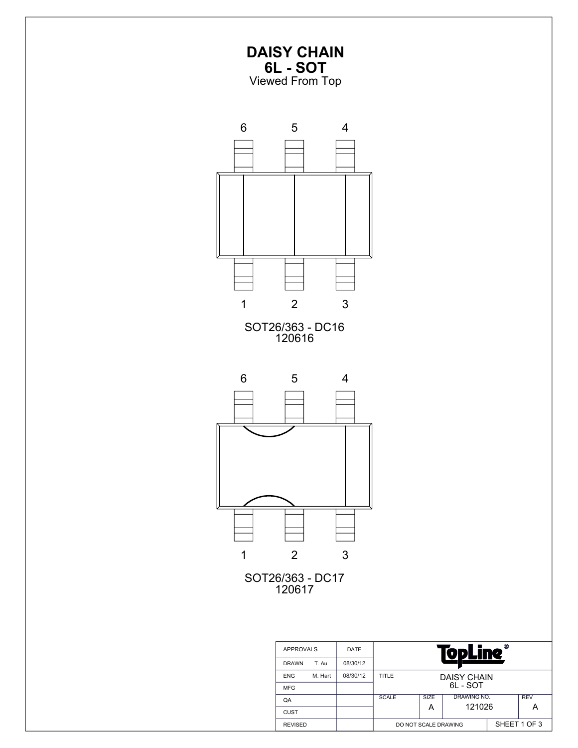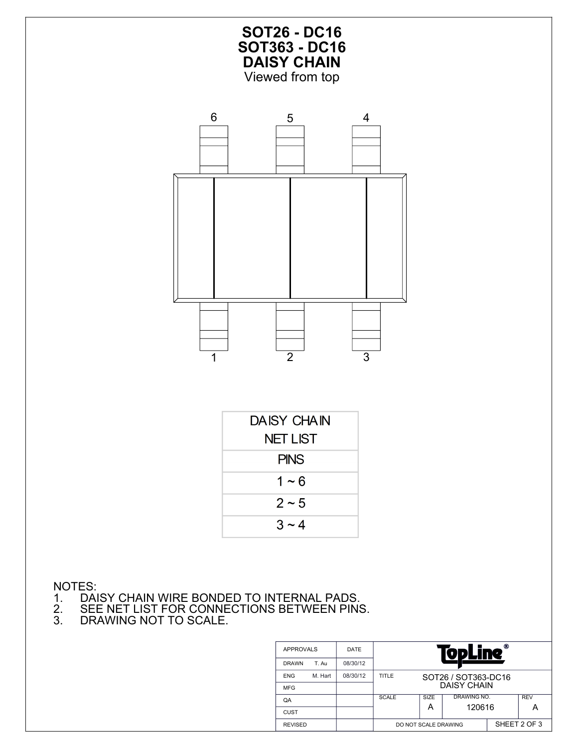